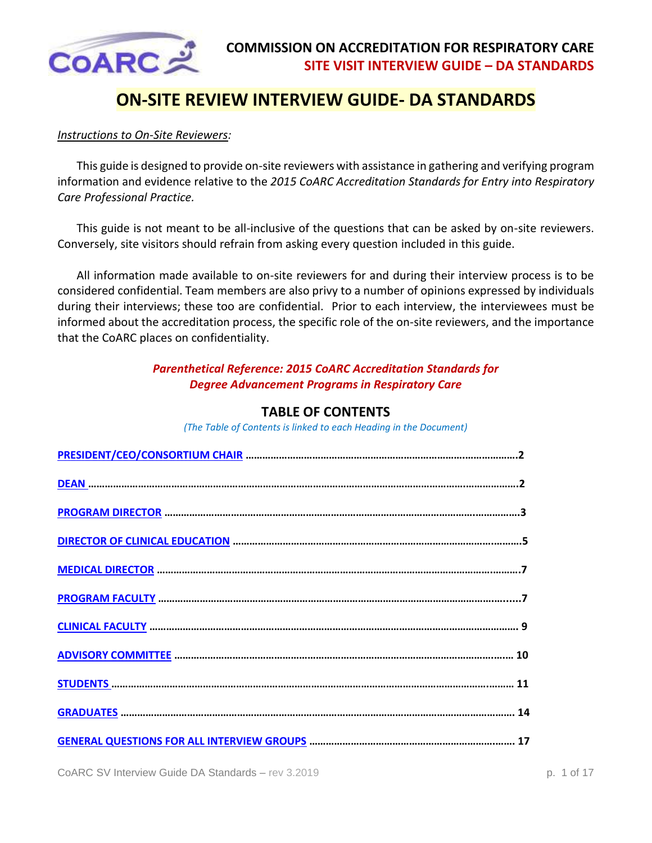

# **ON-SITE REVIEW INTERVIEW GUIDE- DA STANDARDS**

#### *Instructions to On-Site Reviewers:*

This guide is designed to provide on-site reviewers with assistance in gathering and verifying program information and evidence relative to the *2015 CoARC Accreditation Standards for Entry into Respiratory Care Professional Practice.*

This guide is not meant to be all-inclusive of the questions that can be asked by on-site reviewers. Conversely, site visitors should refrain from asking every question included in this guide.

All information made available to on-site reviewers for and during their interview process is to be considered confidential. Team members are also privy to a number of opinions expressed by individuals during their interviews; these too are confidential. Prior to each interview, the interviewees must be informed about the accreditation process, the specific role of the on-site reviewers, and the importance that the CoARC places on confidentiality.

### *Parenthetical Reference: 2015 CoARC Accreditation Standards for Degree Advancement Programs in Respiratory Care*

### **TABLE OF CONTENTS**

*(The Table of Contents is linked to each Heading in the Document)*

<span id="page-0-0"></span>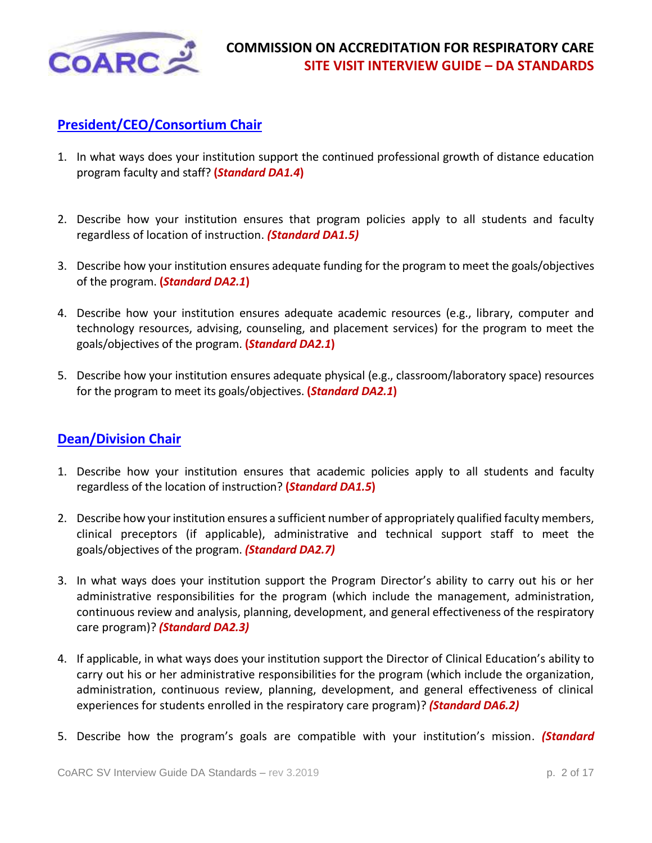

# <span id="page-1-0"></span>**[President/CEO/Consortium Chair](#page-0-0)**

- 1. In what ways does your institution support the continued professional growth of distance education program faculty and staff? **(***Standard DA1.4***)**
- 2. Describe how your institution ensures that program policies apply to all students and faculty regardless of location of instruction. *(Standard DA1.5)*
- 3. Describe how your institution ensures adequate funding for the program to meet the goals/objectives of the program. **(***Standard DA2.1***)**
- 4. Describe how your institution ensures adequate academic resources (e.g., library, computer and technology resources, advising, counseling, and placement services) for the program to meet the goals/objectives of the program. **(***Standard DA2.1***)**
- 5. Describe how your institution ensures adequate physical (e.g., classroom/laboratory space) resources for the program to meet its goals/objectives. **(***Standard DA2.1***)**

# <span id="page-1-1"></span>**[Dean/Division Chair](#page-0-0)**

- 1. Describe how your institution ensures that academic policies apply to all students and faculty regardless of the location of instruction? **(***Standard DA1.5***)**
- 2. Describe how your institution ensures a sufficient number of appropriately qualified faculty members, clinical preceptors (if applicable), administrative and technical support staff to meet the goals/objectives of the program. *(Standard DA2.7)*
- 3. In what ways does your institution support the Program Director's ability to carry out his or her administrative responsibilities for the program (which include the management, administration, continuous review and analysis, planning, development, and general effectiveness of the respiratory care program)? *(Standard DA2.3)*
- 4. If applicable, in what ways does your institution support the Director of Clinical Education's ability to carry out his or her administrative responsibilities for the program (which include the organization, administration, continuous review, planning, development, and general effectiveness of clinical experiences for students enrolled in the respiratory care program)? *(Standard DA6.2)*
- 5. Describe how the program's goals are compatible with your institution's mission. *(Standard*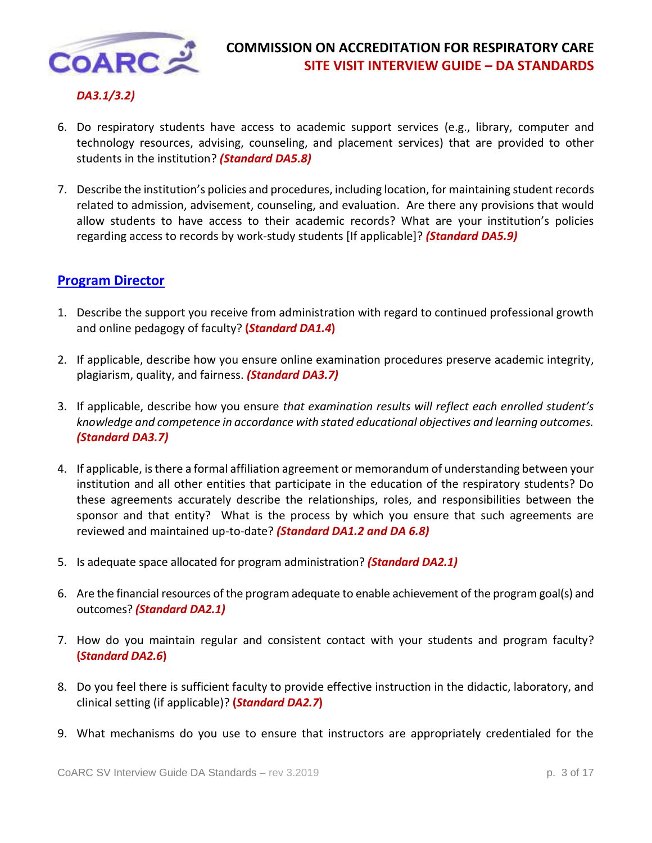

#### *DA3.1/3.2)*

- 6. Do respiratory students have access to academic support services (e.g., library, computer and technology resources, advising, counseling, and placement services) that are provided to other students in the institution? *(Standard DA5.8)*
- 7. Describe the institution's policies and procedures, including location, for maintaining student records related to admission, advisement, counseling, and evaluation. Are there any provisions that would allow students to have access to their academic records? What are your institution's policies regarding access to records by work-study students [If applicable]? *(Standard DA5.9)*

#### <span id="page-2-0"></span>**[Program Director](#page-0-0)**

- 1. Describe the support you receive from administration with regard to continued professional growth and online pedagogy of faculty? **(***Standard DA1.4***)**
- 2. If applicable, describe how you ensure online examination procedures preserve academic integrity, plagiarism, quality, and fairness. *(Standard DA3.7)*
- 3. If applicable, describe how you ensure *that examination results will reflect each enrolled student's knowledge and competence in accordance with stated educational objectives and learning outcomes. (Standard DA3.7)*
- 4. If applicable, is there a formal affiliation agreement or memorandum of understanding between your institution and all other entities that participate in the education of the respiratory students? Do these agreements accurately describe the relationships, roles, and responsibilities between the sponsor and that entity? What is the process by which you ensure that such agreements are reviewed and maintained up-to-date? *(Standard DA1.2 and DA 6.8)*
- 5. Is adequate space allocated for program administration? *(Standard DA2.1)*
- 6. Are the financial resources of the program adequate to enable achievement of the program goal(s) and outcomes? *(Standard DA2.1)*
- 7. How do you maintain regular and consistent contact with your students and program faculty? **(***Standard DA2.6***)**
- 8. Do you feel there is sufficient faculty to provide effective instruction in the didactic, laboratory, and clinical setting (if applicable)? **(***Standard DA2.7***)**
- 9. What mechanisms do you use to ensure that instructors are appropriately credentialed for the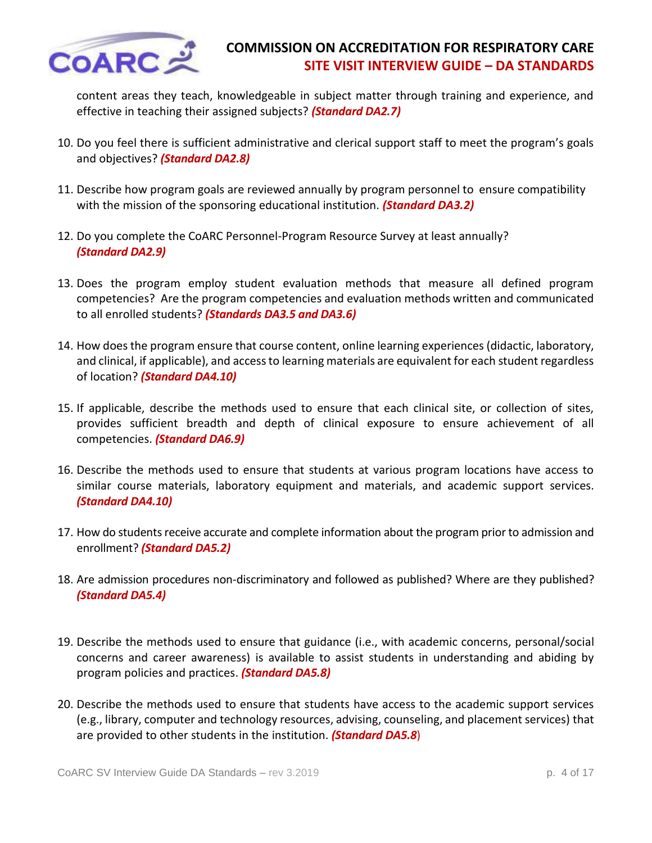

content areas they teach, knowledgeable in subject matter through training and experience, and effective in teaching their assigned subjects? *(Standard DA2.7)*

- 10. Do you feel there is sufficient administrative and clerical support staff to meet the program's goals and objectives? *(Standard DA2.8)*
- 11. Describe how program goals are reviewed annually by program personnel to ensure compatibility with the mission of the sponsoring educational institution. *(Standard DA3.2)*
- 12. Do you complete the CoARC Personnel-Program Resource Survey at least annually?  *(Standard DA2.9)*
- 13. Does the program employ student evaluation methods that measure all defined program competencies? Are the program competencies and evaluation methods written and communicated to all enrolled students? *(Standards DA3.5 and DA3.6)*
- 14. How does the program ensure that course content, online learning experiences (didactic, laboratory, and clinical, if applicable), and access to learning materials are equivalent for each student regardless of location? *(Standard DA4.10)*
- 15. If applicable, describe the methods used to ensure that each clinical site, or collection of sites, provides sufficient breadth and depth of clinical exposure to ensure achievement of all competencies. *(Standard DA6.9)*
- 16. Describe the methods used to ensure that students at various program locations have access to similar course materials, laboratory equipment and materials, and academic support services. *(Standard DA4.10)*
- 17. How do students receive accurate and complete information about the program prior to admission and enrollment? *(Standard DA5.2)*
- 18. Are admission procedures non-discriminatory and followed as published? Where are they published? *(Standard DA5.4)*
- 19. Describe the methods used to ensure that guidance (i.e., with academic concerns, personal/social concerns and career awareness) is available to assist students in understanding and abiding by program policies and practices. *(Standard DA5.8)*
- 20. Describe the methods used to ensure that students have access to the academic support services (e.g., library, computer and technology resources, advising, counseling, and placement services) that are provided to other students in the institution. *(Standard DA5.8*)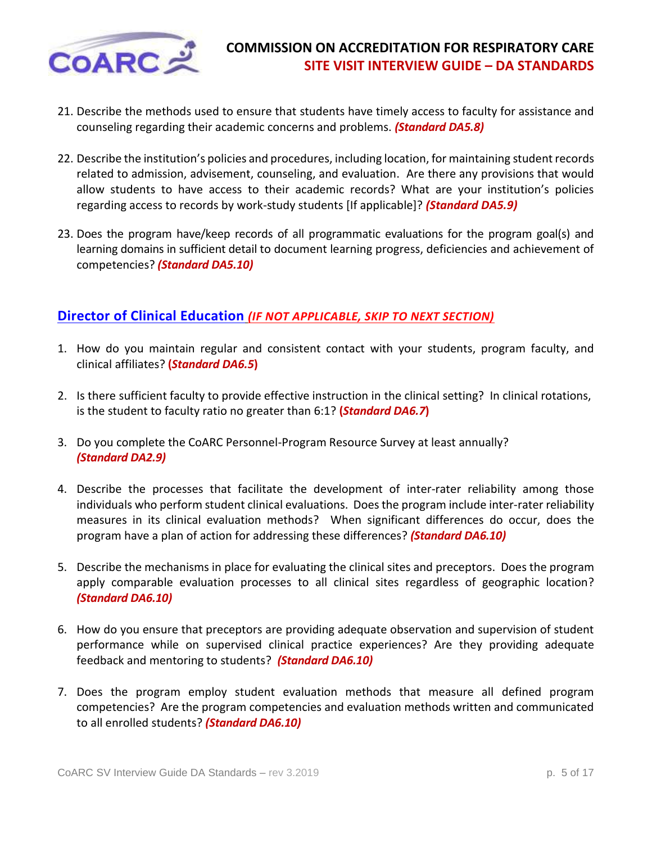

- 21. Describe the methods used to ensure that students have timely access to faculty for assistance and counseling regarding their academic concerns and problems. *(Standard DA5.8)*
- 22. Describe the institution's policies and procedures, including location, for maintaining student records related to admission, advisement, counseling, and evaluation. Are there any provisions that would allow students to have access to their academic records? What are your institution's policies regarding access to records by work-study students [If applicable]? *(Standard DA5.9)*
- 23. Does the program have/keep records of all programmatic evaluations for the program goal(s) and learning domains in sufficient detail to document learning progress, deficiencies and achievement of competencies? *(Standard DA5.10)*

### <span id="page-4-0"></span>**[Director of Clinical Education](#page-0-0)** *(IF NOT APPLICABLE, SKIP TO NEXT SECTION)*

- 1. How do you maintain regular and consistent contact with your students, program faculty, and clinical affiliates? **(***Standard DA6.5***)**
- 2. Is there sufficient faculty to provide effective instruction in the clinical setting? In clinical rotations, is the student to faculty ratio no greater than 6:1? **(***Standard DA6.7***)**
- 3. Do you complete the CoARC Personnel-Program Resource Survey at least annually? *(Standard DA2.9)*
- 4. Describe the processes that facilitate the development of inter-rater reliability among those individuals who perform student clinical evaluations. Doesthe program include inter-rater reliability measures in its clinical evaluation methods? When significant differences do occur, does the program have a plan of action for addressing these differences? *(Standard DA6.10)*
- 5. Describe the mechanisms in place for evaluating the clinical sites and preceptors. Does the program apply comparable evaluation processes to all clinical sites regardless of geographic location? *(Standard DA6.10)*
- 6. How do you ensure that preceptors are providing adequate observation and supervision of student performance while on supervised clinical practice experiences? Are they providing adequate feedback and mentoring to students? *(Standard DA6.10)*
- 7. Does the program employ student evaluation methods that measure all defined program competencies? Are the program competencies and evaluation methods written and communicated to all enrolled students? *(Standard DA6.10)*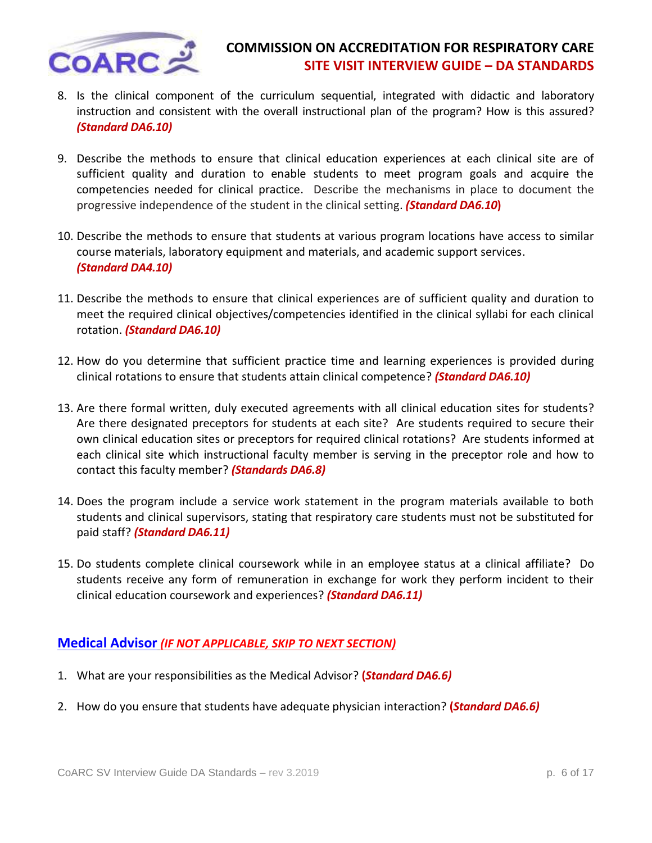

- 8. Is the clinical component of the curriculum sequential, integrated with didactic and laboratory instruction and consistent with the overall instructional plan of the program? How is this assured? *(Standard DA6.10)*
- 9. Describe the methods to ensure that clinical education experiences at each clinical site are of sufficient quality and duration to enable students to meet program goals and acquire the competencies needed for clinical practice. Describe the mechanisms in place to document the progressive independence of the student in the clinical setting. *(Standard DA6.10***)**
- 10. Describe the methods to ensure that students at various program locations have access to similar course materials, laboratory equipment and materials, and academic support services. *(Standard DA4.10)*
- 11. Describe the methods to ensure that clinical experiences are of sufficient quality and duration to meet the required clinical objectives/competencies identified in the clinical syllabi for each clinical rotation. *(Standard DA6.10)*
- 12. How do you determine that sufficient practice time and learning experiences is provided during clinical rotations to ensure that students attain clinical competence? *(Standard DA6.10)*
- 13. Are there formal written, duly executed agreements with all clinical education sites for students? Are there designated preceptors for students at each site? Are students required to secure their own clinical education sites or preceptors for required clinical rotations? Are students informed at each clinical site which instructional faculty member is serving in the preceptor role and how to contact this faculty member? *(Standards DA6.8)*
- 14. Does the program include a service work statement in the program materials available to both students and clinical supervisors, stating that respiratory care students must not be substituted for paid staff? *(Standard DA6.11)*
- 15. Do students complete clinical coursework while in an employee status at a clinical affiliate? Do students receive any form of remuneration in exchange for work they perform incident to their clinical education coursework and experiences? *(Standard DA6.11)*

### <span id="page-5-0"></span>**[Medical Advisor](#page-0-0)** *(IF NOT APPLICABLE, SKIP TO NEXT SECTION)*

- 1. What are your responsibilities as the Medical Advisor? **(***Standard DA6.6)*
- 2. How do you ensure that students have adequate physician interaction? **(***Standard DA6.6)*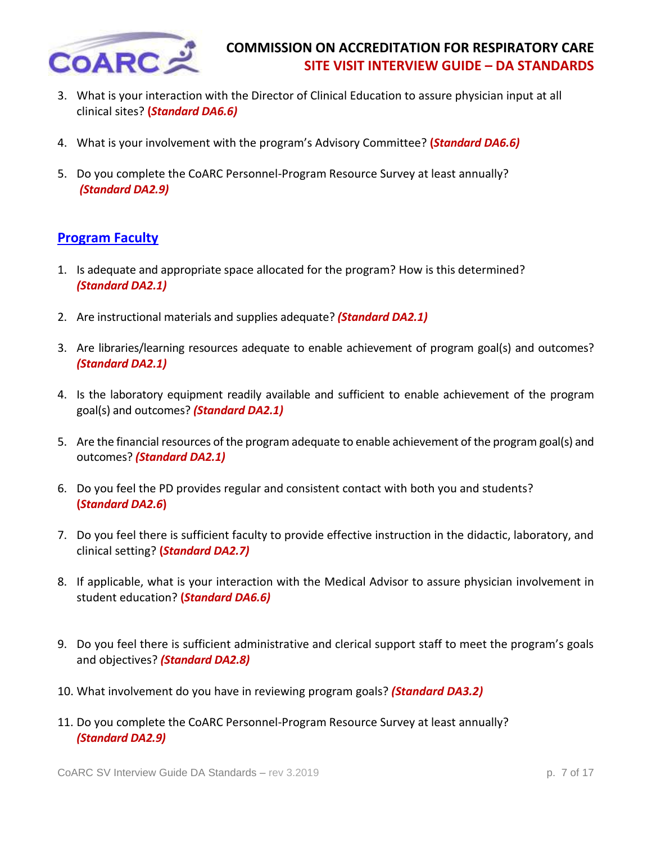

- 3. What is your interaction with the Director of Clinical Education to assure physician input at all clinical sites? **(***Standard DA6.6)*
- 4. What is your involvement with the program's Advisory Committee? **(***Standard DA6.6)*
- 5. Do you complete the CoARC Personnel-Program Resource Survey at least annually? *(Standard DA2.9)*

### <span id="page-6-0"></span>**[Program Faculty](#page-0-0)**

- 1. Is adequate and appropriate space allocated for the program? How is this determined? *(Standard DA2.1)*
- 2. Are instructional materials and supplies adequate? *(Standard DA2.1)*
- 3. Are libraries/learning resources adequate to enable achievement of program goal(s) and outcomes? *(Standard DA2.1)*
- 4. Is the laboratory equipment readily available and sufficient to enable achievement of the program goal(s) and outcomes? *(Standard DA2.1)*
- 5. Are the financial resources of the program adequate to enable achievement of the program goal(s) and outcomes? *(Standard DA2.1)*
- 6. Do you feel the PD provides regular and consistent contact with both you and students? **(***Standard DA2.6***)**
- 7. Do you feel there is sufficient faculty to provide effective instruction in the didactic, laboratory, and clinical setting? **(***Standard DA2.7)*
- 8. If applicable, what is your interaction with the Medical Advisor to assure physician involvement in student education? **(***Standard DA6.6)*
- 9. Do you feel there is sufficient administrative and clerical support staff to meet the program's goals and objectives? *(Standard DA2.8)*
- 10. What involvement do you have in reviewing program goals? *(Standard DA3.2)*
- 11. Do you complete the CoARC Personnel-Program Resource Survey at least annually?  *(Standard DA2.9)*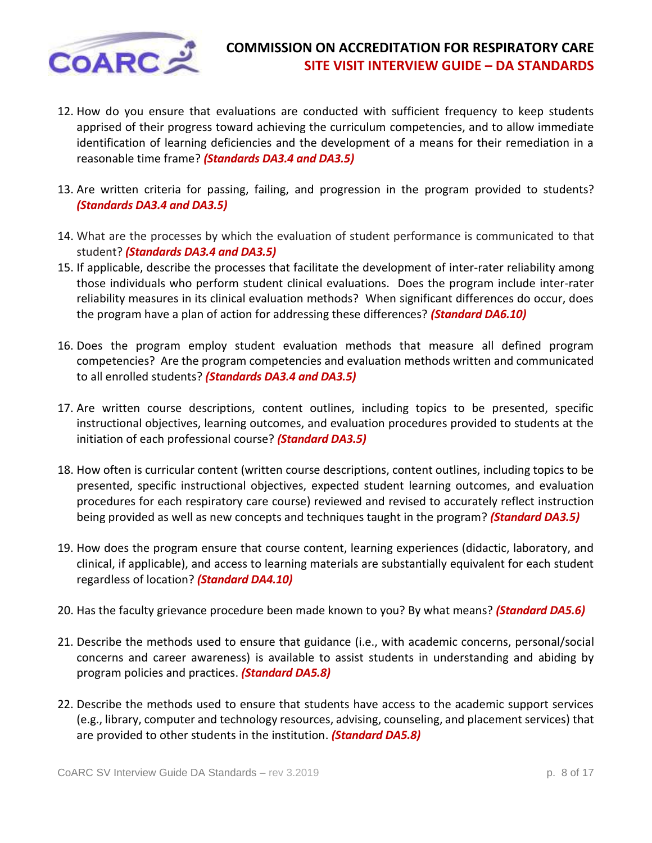

- 12. How do you ensure that evaluations are conducted with sufficient frequency to keep students apprised of their progress toward achieving the curriculum competencies, and to allow immediate identification of learning deficiencies and the development of a means for their remediation in a reasonable time frame? *(Standards DA3.4 and DA3.5)*
- 13. Are written criteria for passing, failing, and progression in the program provided to students? *(Standards DA3.4 and DA3.5)*
- 14. What are the processes by which the evaluation of student performance is communicated to that student? *(Standards DA3.4 and DA3.5)*
- 15. If applicable, describe the processes that facilitate the development of inter-rater reliability among those individuals who perform student clinical evaluations. Does the program include inter-rater reliability measures in its clinical evaluation methods? When significant differences do occur, does the program have a plan of action for addressing these differences? *(Standard DA6.10)*
- 16. Does the program employ student evaluation methods that measure all defined program competencies? Are the program competencies and evaluation methods written and communicated to all enrolled students? *(Standards DA3.4 and DA3.5)*
- 17. Are written course descriptions, content outlines, including topics to be presented, specific instructional objectives, learning outcomes, and evaluation procedures provided to students at the initiation of each professional course? *(Standard DA3.5)*
- 18. How often is curricular content (written course descriptions, content outlines, including topics to be presented, specific instructional objectives, expected student learning outcomes, and evaluation procedures for each respiratory care course) reviewed and revised to accurately reflect instruction being provided as well as new concepts and techniques taught in the program? *(Standard DA3.5)*
- 19. How does the program ensure that course content, learning experiences (didactic, laboratory, and clinical, if applicable), and access to learning materials are substantially equivalent for each student regardless of location? *(Standard DA4.10)*
- 20. Has the faculty grievance procedure been made known to you? By what means? *(Standard DA5.6)*
- 21. Describe the methods used to ensure that guidance (i.e., with academic concerns, personal/social concerns and career awareness) is available to assist students in understanding and abiding by program policies and practices. *(Standard DA5.8)*
- 22. Describe the methods used to ensure that students have access to the academic support services (e.g., library, computer and technology resources, advising, counseling, and placement services) that are provided to other students in the institution. *(Standard DA5.8)*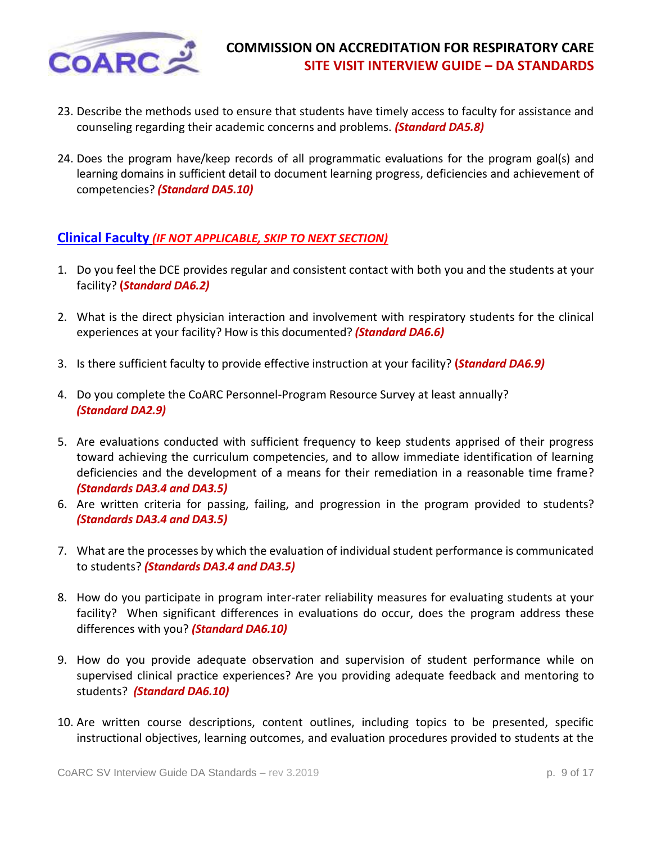

- 23. Describe the methods used to ensure that students have timely access to faculty for assistance and counseling regarding their academic concerns and problems. *(Standard DA5.8)*
- 24. Does the program have/keep records of all programmatic evaluations for the program goal(s) and learning domains in sufficient detail to document learning progress, deficiencies and achievement of competencies? *(Standard DA5.10)*

#### <span id="page-8-0"></span>**[Clinical Faculty](#page-0-0)** *(IF NOT APPLICABLE, SKIP TO NEXT SECTION)*

- 1. Do you feel the DCE provides regular and consistent contact with both you and the students at your facility? **(***Standard DA6.2)*
- 2. What is the direct physician interaction and involvement with respiratory students for the clinical experiences at your facility? How is this documented? *(Standard DA6.6)*
- 3. Is there sufficient faculty to provide effective instruction at your facility? **(***Standard DA6.9)*
- 4. Do you complete the CoARC Personnel-Program Resource Survey at least annually? *(Standard DA2.9)*
- 5. Are evaluations conducted with sufficient frequency to keep students apprised of their progress toward achieving the curriculum competencies, and to allow immediate identification of learning deficiencies and the development of a means for their remediation in a reasonable time frame? *(Standards DA3.4 and DA3.5)*
- 6. Are written criteria for passing, failing, and progression in the program provided to students? *(Standards DA3.4 and DA3.5)*
- 7. What are the processes by which the evaluation of individual student performance is communicated to students? *(Standards DA3.4 and DA3.5)*
- 8. How do you participate in program inter-rater reliability measures for evaluating students at your facility? When significant differences in evaluations do occur, does the program address these differences with you? *(Standard DA6.10)*
- 9. How do you provide adequate observation and supervision of student performance while on supervised clinical practice experiences? Are you providing adequate feedback and mentoring to students? *(Standard DA6.10)*
- 10. Are written course descriptions, content outlines, including topics to be presented, specific instructional objectives, learning outcomes, and evaluation procedures provided to students at the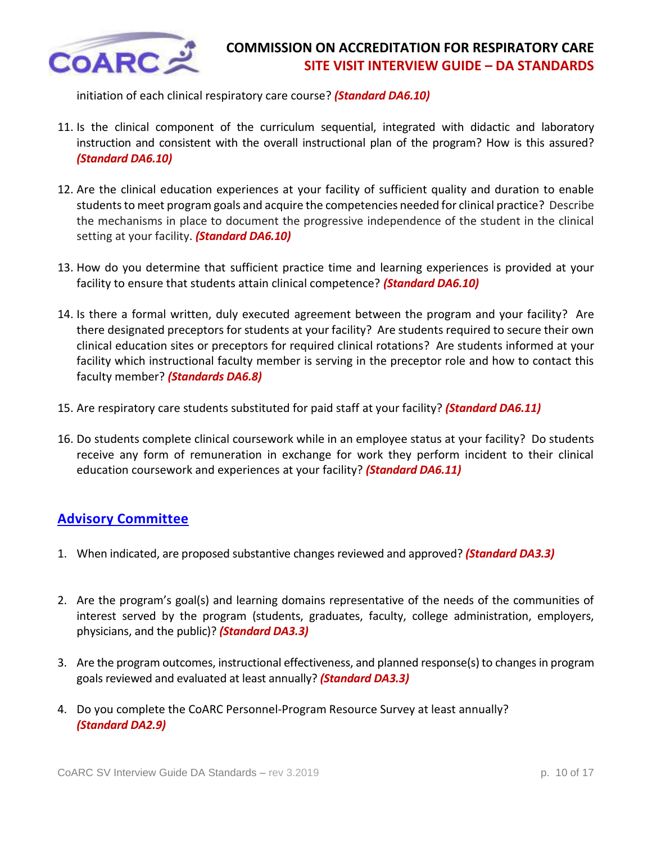

initiation of each clinical respiratory care course? *(Standard DA6.10)* 

- 11. Is the clinical component of the curriculum sequential, integrated with didactic and laboratory instruction and consistent with the overall instructional plan of the program? How is this assured? *(Standard DA6.10)*
- 12. Are the clinical education experiences at your facility of sufficient quality and duration to enable students to meet program goals and acquire the competencies needed for clinical practice? Describe the mechanisms in place to document the progressive independence of the student in the clinical setting at your facility. *(Standard DA6.10)*
- 13. How do you determine that sufficient practice time and learning experiences is provided at your facility to ensure that students attain clinical competence? *(Standard DA6.10)*
- 14. Is there a formal written, duly executed agreement between the program and your facility? Are there designated preceptors for students at your facility? Are students required to secure their own clinical education sites or preceptors for required clinical rotations? Are students informed at your facility which instructional faculty member is serving in the preceptor role and how to contact this faculty member? *(Standards DA6.8)*
- 15. Are respiratory care students substituted for paid staff at your facility? *(Standard DA6.11)*
- 16. Do students complete clinical coursework while in an employee status at your facility? Do students receive any form of remuneration in exchange for work they perform incident to their clinical education coursework and experiences at your facility? *(Standard DA6.11)*

# <span id="page-9-0"></span>**[Advisory Committee](#page-0-0)**

- 1. When indicated, are proposed substantive changes reviewed and approved? *(Standard DA3.3)*
- 2. Are the program's goal(s) and learning domains representative of the needs of the communities of interest served by the program (students, graduates, faculty, college administration, employers, physicians, and the public)? *(Standard DA3.3)*
- 3. Are the program outcomes, instructional effectiveness, and planned response(s) to changes in program goals reviewed and evaluated at least annually? *(Standard DA3.3)*
- 4. Do you complete the CoARC Personnel-Program Resource Survey at least annually? *(Standard DA2.9)*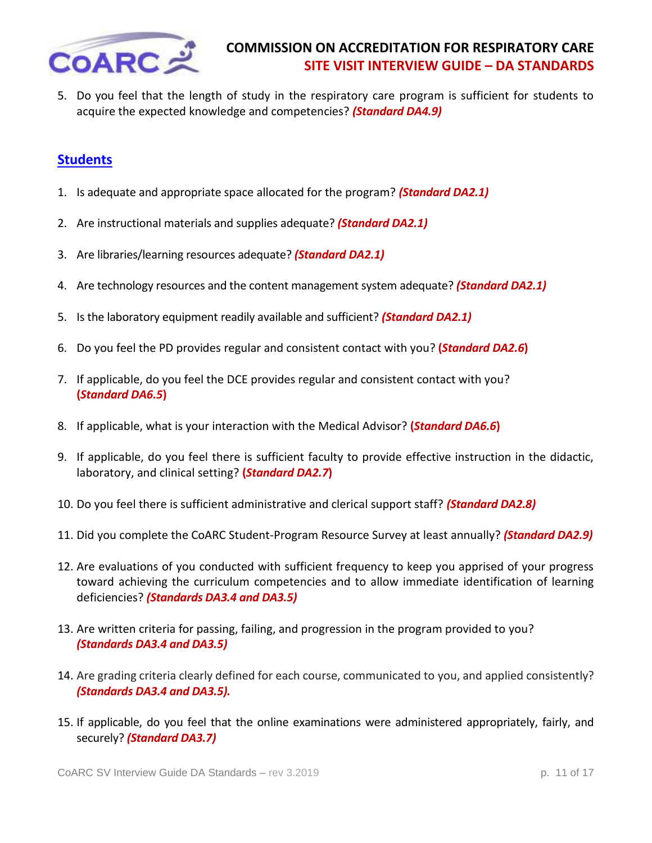

5. Do you feel that the length of study in the respiratory care program is sufficient for students to acquire the expected knowledge and competencies? *(Standard DA4.9)*

# <span id="page-10-0"></span>**[Students](#page-0-0)**

- 1. Is adequate and appropriate space allocated for the program? *(Standard DA2.1)*
- 2. Are instructional materials and supplies adequate? *(Standard DA2.1)*
- 3. Are libraries/learning resources adequate? *(Standard DA2.1)*
- 4. Are technology resources and the content management system adequate? *(Standard DA2.1)*
- 5. Is the laboratory equipment readily available and sufficient? *(Standard DA2.1)*
- 6. Do you feel the PD provides regular and consistent contact with you? **(***Standard DA2.6***)**
- 7. If applicable, do you feel the DCE provides regular and consistent contact with you? **(***Standard DA6.5***)**
- 8. If applicable, what is your interaction with the Medical Advisor? **(***Standard DA6.6***)**
- 9. If applicable, do you feel there is sufficient faculty to provide effective instruction in the didactic, laboratory, and clinical setting? **(***Standard DA2.7***)**
- 10. Do you feel there is sufficient administrative and clerical support staff? *(Standard DA2.8)*
- 11. Did you complete the CoARC Student-Program Resource Survey at least annually? *(Standard DA2.9)*
- 12. Are evaluations of you conducted with sufficient frequency to keep you apprised of your progress toward achieving the curriculum competencies and to allow immediate identification of learning deficiencies? *(Standards DA3.4 and DA3.5)*
- 13. Are written criteria for passing, failing, and progression in the program provided to you? *(Standards DA3.4 and DA3.5)*
- 14. Are grading criteria clearly defined for each course, communicated to you, and applied consistently? *(Standards DA3.4 and DA3.5).*
- 15. If applicable, do you feel that the online examinations were administered appropriately, fairly, and securely? *(Standard DA3.7)*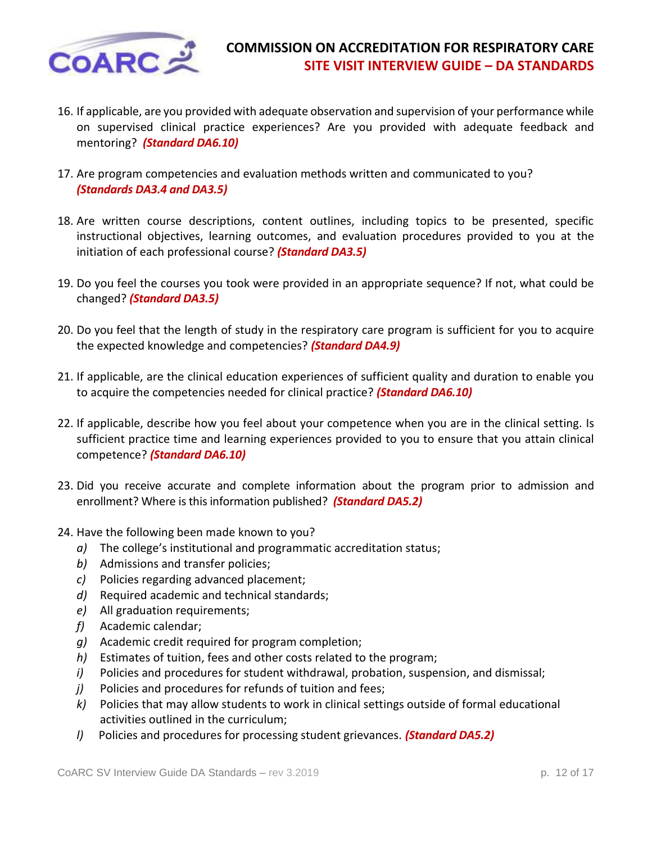

- 16. If applicable, are you provided with adequate observation and supervision of your performance while on supervised clinical practice experiences? Are you provided with adequate feedback and mentoring? *(Standard DA6.10)*
- 17. Are program competencies and evaluation methods written and communicated to you? *(Standards DA3.4 and DA3.5)*
- 18. Are written course descriptions, content outlines, including topics to be presented, specific instructional objectives, learning outcomes, and evaluation procedures provided to you at the initiation of each professional course? *(Standard DA3.5)*
- 19. Do you feel the courses you took were provided in an appropriate sequence? If not, what could be changed? *(Standard DA3.5)*
- 20. Do you feel that the length of study in the respiratory care program is sufficient for you to acquire the expected knowledge and competencies? *(Standard DA4.9)*
- 21. If applicable, are the clinical education experiences of sufficient quality and duration to enable you to acquire the competencies needed for clinical practice? *(Standard DA6.10)*
- 22. If applicable, describe how you feel about your competence when you are in the clinical setting. Is sufficient practice time and learning experiences provided to you to ensure that you attain clinical competence? *(Standard DA6.10)*
- 23. Did you receive accurate and complete information about the program prior to admission and enrollment? Where is this information published? *(Standard DA5.2)*
- 24. Have the following been made known to you?
	- *a)* The college's institutional and programmatic accreditation status;
	- *b)* Admissions and transfer policies;
	- *c)* Policies regarding advanced placement;
	- *d)* Required academic and technical standards;
	- *e)* All graduation requirements;
	- *f)* Academic calendar;
	- *g)* Academic credit required for program completion;
	- *h)* Estimates of tuition, fees and other costs related to the program;
	- *i)* Policies and procedures for student withdrawal, probation, suspension, and dismissal;
	- *j)* Policies and procedures for refunds of tuition and fees;
	- *k)* Policies that may allow students to work in clinical settings outside of formal educational activities outlined in the curriculum;
	- *l)* Policies and procedures for processing student grievances. *(Standard DA5.2)*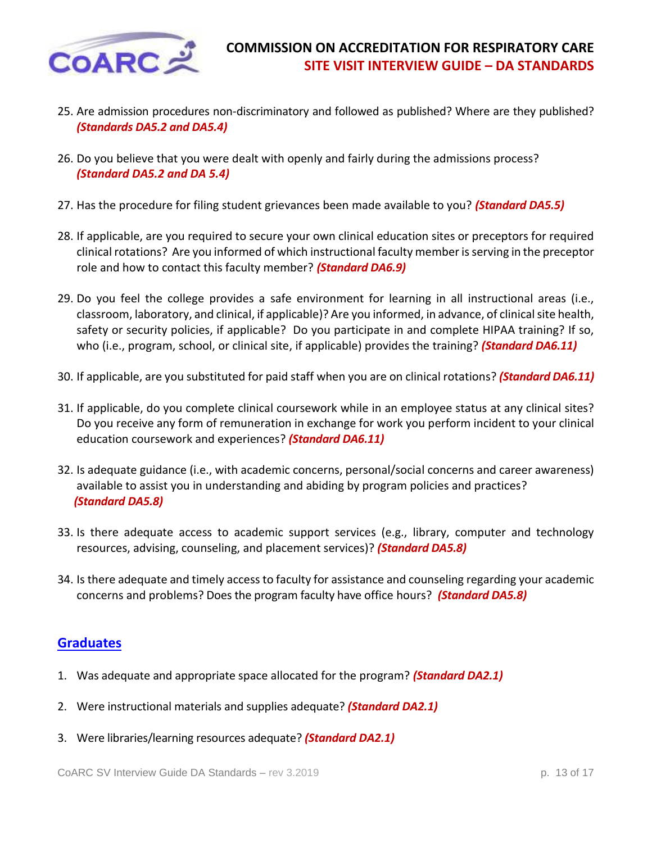

- 25. Are admission procedures non-discriminatory and followed as published? Where are they published? *(Standards DA5.2 and DA5.4)*
- 26. Do you believe that you were dealt with openly and fairly during the admissions process? *(Standard DA5.2 and DA 5.4)*
- 27. Has the procedure for filing student grievances been made available to you? *(Standard DA5.5)*
- 28. If applicable, are you required to secure your own clinical education sites or preceptors for required clinical rotations? Are you informed of which instructional faculty member is serving in the preceptor role and how to contact this faculty member? *(Standard DA6.9)*
- 29. Do you feel the college provides a safe environment for learning in all instructional areas (i.e., classroom, laboratory, and clinical, if applicable)? Are you informed, in advance, of clinical site health, safety or security policies, if applicable? Do you participate in and complete HIPAA training? If so, who (i.e., program, school, or clinical site, if applicable) provides the training? *(Standard DA6.11)*
- 30. If applicable, are you substituted for paid staff when you are on clinical rotations? *(Standard DA6.11)*
- 31. If applicable, do you complete clinical coursework while in an employee status at any clinical sites? Do you receive any form of remuneration in exchange for work you perform incident to your clinical education coursework and experiences? *(Standard DA6.11)*
- 32. Is adequate guidance (i.e., with academic concerns, personal/social concerns and career awareness) available to assist you in understanding and abiding by program policies and practices?  *(Standard DA5.8)*
- 33. Is there adequate access to academic support services (e.g., library, computer and technology resources, advising, counseling, and placement services)? *(Standard DA5.8)*
- 34. Is there adequate and timely access to faculty for assistance and counseling regarding your academic concerns and problems? Does the program faculty have office hours? *(Standard DA5.8)*

### <span id="page-12-0"></span>**[Graduates](#page-0-0)**

- 1. Was adequate and appropriate space allocated for the program? *(Standard DA2.1)*
- 2. Were instructional materials and supplies adequate? *(Standard DA2.1)*
- 3. Were libraries/learning resources adequate? *(Standard DA2.1)*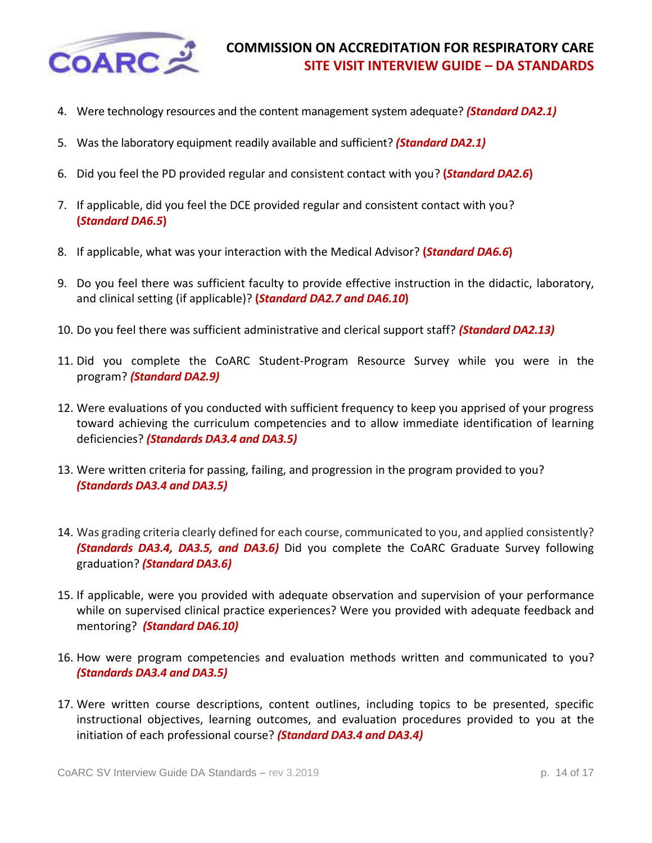

- 4. Were technology resources and the content management system adequate? *(Standard DA2.1)*
- 5. Was the laboratory equipment readily available and sufficient? *(Standard DA2.1)*
- 6. Did you feel the PD provided regular and consistent contact with you? **(***Standard DA2.6***)**
- 7. If applicable, did you feel the DCE provided regular and consistent contact with you? **(***Standard DA6.5***)**
- 8. If applicable, what was your interaction with the Medical Advisor? **(***Standard DA6.6***)**
- 9. Do you feel there was sufficient faculty to provide effective instruction in the didactic, laboratory, and clinical setting (if applicable)? **(***Standard DA2.7 and DA6.10***)**
- 10. Do you feel there was sufficient administrative and clerical support staff? *(Standard DA2.13)*
- 11. Did you complete the CoARC Student-Program Resource Survey while you were in the program? *(Standard DA2.9)*
- 12. Were evaluations of you conducted with sufficient frequency to keep you apprised of your progress toward achieving the curriculum competencies and to allow immediate identification of learning deficiencies? *(Standards DA3.4 and DA3.5)*
- 13. Were written criteria for passing, failing, and progression in the program provided to you? *(Standards DA3.4 and DA3.5)*
- 14. Was grading criteria clearly defined for each course, communicated to you, and applied consistently? *(Standards DA3.4, DA3.5, and DA3.6)* Did you complete the CoARC Graduate Survey following graduation? *(Standard DA3.6)*
- 15. If applicable, were you provided with adequate observation and supervision of your performance while on supervised clinical practice experiences? Were you provided with adequate feedback and mentoring? *(Standard DA6.10)*
- 16. How were program competencies and evaluation methods written and communicated to you? *(Standards DA3.4 and DA3.5)*
- 17. Were written course descriptions, content outlines, including topics to be presented, specific instructional objectives, learning outcomes, and evaluation procedures provided to you at the initiation of each professional course? *(Standard DA3.4 and DA3.4)*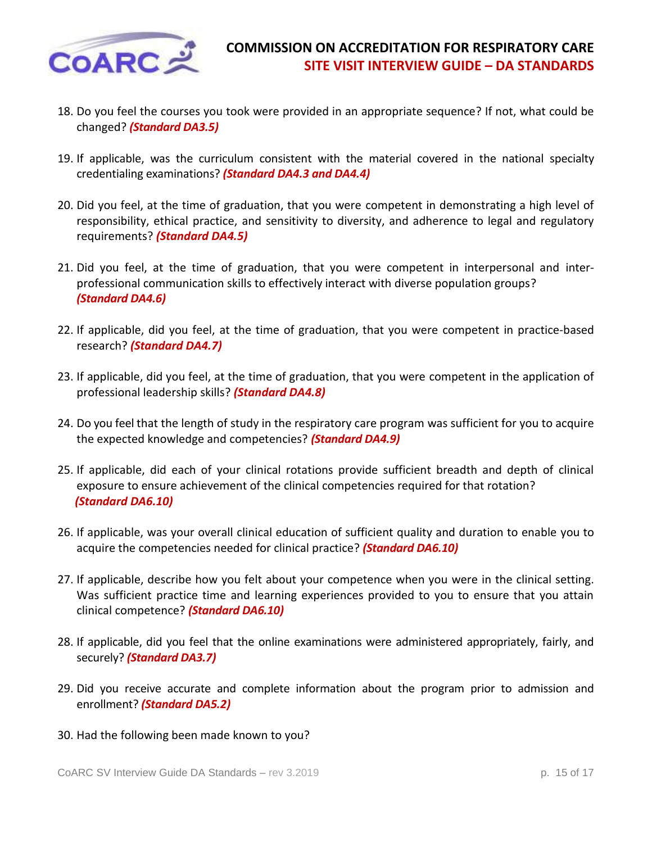

- 18. Do you feel the courses you took were provided in an appropriate sequence? If not, what could be changed? *(Standard DA3.5)*
- 19. If applicable, was the curriculum consistent with the material covered in the national specialty credentialing examinations? *(Standard DA4.3 and DA4.4)*
- 20. Did you feel, at the time of graduation, that you were competent in demonstrating a high level of responsibility, ethical practice, and sensitivity to diversity, and adherence to legal and regulatory requirements? *(Standard DA4.5)*
- 21. Did you feel, at the time of graduation, that you were competent in interpersonal and interprofessional communication skills to effectively interact with diverse population groups? *(Standard DA4.6)*
- 22. If applicable, did you feel, at the time of graduation, that you were competent in practice-based research? *(Standard DA4.7)*
- 23. If applicable, did you feel, at the time of graduation, that you were competent in the application of professional leadership skills? *(Standard DA4.8)*
- 24. Do you feel that the length of study in the respiratory care program was sufficient for you to acquire the expected knowledge and competencies? *(Standard DA4.9)*
- 25. If applicable, did each of your clinical rotations provide sufficient breadth and depth of clinical exposure to ensure achievement of the clinical competencies required for that rotation?  *(Standard DA6.10)*
- 26. If applicable, was your overall clinical education of sufficient quality and duration to enable you to acquire the competencies needed for clinical practice? *(Standard DA6.10)*
- 27. If applicable, describe how you felt about your competence when you were in the clinical setting. Was sufficient practice time and learning experiences provided to you to ensure that you attain clinical competence? *(Standard DA6.10)*
- 28. If applicable, did you feel that the online examinations were administered appropriately, fairly, and securely? *(Standard DA3.7)*
- 29. Did you receive accurate and complete information about the program prior to admission and enrollment? *(Standard DA5.2)*
- 30. Had the following been made known to you?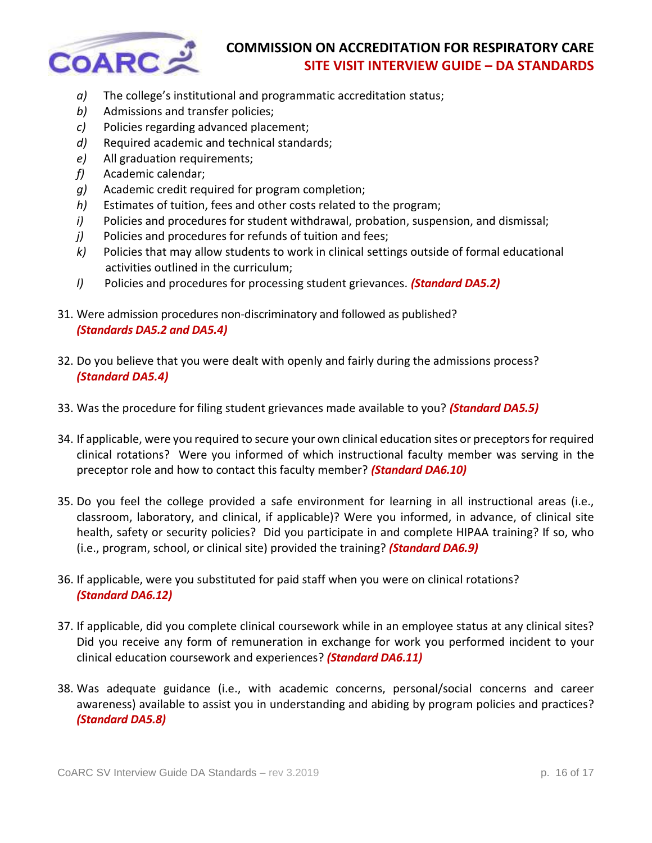

- *a)* The college's institutional and programmatic accreditation status;
- *b)* Admissions and transfer policies;
- *c)* Policies regarding advanced placement;
- *d)* Required academic and technical standards;
- *e)* All graduation requirements;
- *f)* Academic calendar;
- *g)* Academic credit required for program completion;
- *h)* Estimates of tuition, fees and other costs related to the program;
- *i)* Policies and procedures for student withdrawal, probation, suspension, and dismissal;
- *j)* Policies and procedures for refunds of tuition and fees;
- *k)* Policies that may allow students to work in clinical settings outside of formal educational activities outlined in the curriculum;
- *l)* Policies and procedures for processing student grievances. *(Standard DA5.2)*
- 31. Were admission procedures non-discriminatory and followed as published? *(Standards DA5.2 and DA5.4)*
- 32. Do you believe that you were dealt with openly and fairly during the admissions process? *(Standard DA5.4)*
- 33. Was the procedure for filing student grievances made available to you? *(Standard DA5.5)*
- 34. If applicable, were you required to secure your own clinical education sites or preceptors for required clinical rotations? Were you informed of which instructional faculty member was serving in the preceptor role and how to contact this faculty member? *(Standard DA6.10)*
- 35. Do you feel the college provided a safe environment for learning in all instructional areas (i.e., classroom, laboratory, and clinical, if applicable)? Were you informed, in advance, of clinical site health, safety or security policies? Did you participate in and complete HIPAA training? If so, who (i.e., program, school, or clinical site) provided the training? *(Standard DA6.9)*
- 36. If applicable, were you substituted for paid staff when you were on clinical rotations? *(Standard DA6.12)*
- 37. If applicable, did you complete clinical coursework while in an employee status at any clinical sites? Did you receive any form of remuneration in exchange for work you performed incident to your clinical education coursework and experiences? *(Standard DA6.11)*
- 38. Was adequate guidance (i.e., with academic concerns, personal/social concerns and career awareness) available to assist you in understanding and abiding by program policies and practices? *(Standard DA5.8)*